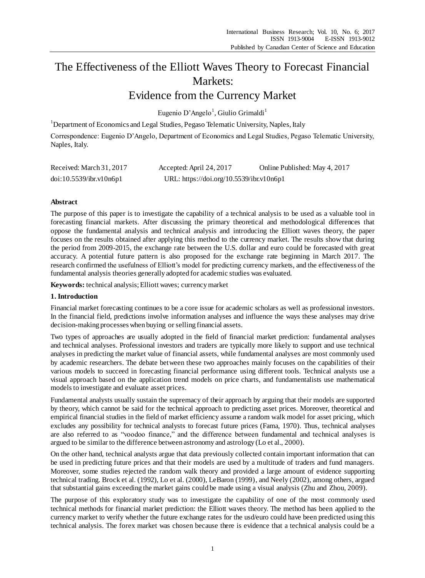# The Effectiveness of the Elliott Waves Theory to Forecast Financial Markets: Evidence from the Currency Market

Eugenio D'Angelo<sup>1</sup>, Giulio Grimaldi<sup>1</sup>

<sup>1</sup>Department of Economics and Legal Studies, Pegaso Telematic University, Naples, Italy

Correspondence: Eugenio D'Angelo, Department of Economics and Legal Studies, Pegaso Telematic University, Naples, Italy.

| Received: March 31, 2017 | Accepted: April 24, 2017                 | Online Published: May 4, 2017 |
|--------------------------|------------------------------------------|-------------------------------|
| doi:10.5539/ibr.v10n6p1  | URL: https://doi.org/10.5539/ibr.v10n6p1 |                               |

## **Abstract**

The purpose of this paper is to investigate the capability of a technical analysis to be used as a valuable tool in forecasting financial markets. After discussing the primary theoretical and methodological differences that oppose the fundamental analysis and technical analysis and introducing the Elliott waves theory, the paper focuses on the results obtained after applying this method to the currency market. The results show that during the period from 2009-2015, the exchange rate between the U.S. dollar and euro could be forecasted with great accuracy. A potential future pattern is also proposed for the exchange rate beginning in March 2017. The research confirmed the usefulness of Elliott's model for predicting currency markets, and the effectiveness of the fundamental analysis theories generally adopted for academic studies was evaluated.

**Keywords:** technical analysis; Elliott waves; currency market

### **1. Introduction**

Financial market forecasting continues to be a core issue for academic scholars as well as professional investors. In the financial field, predictions involve information analyses and influence the ways these analyses may drive decision-making processeswhen buying or selling financial assets.

Two types of approaches are usually adopted in the field of financial market prediction: fundamental analyses and technical analyses. Professional investors and traders are typically more likely to support and use technical analyses in predicting the market value of financial assets, while fundamental analyses are most commonly used by academic researchers. The debate between these two approaches mainly focuses on the capabilities of their various models to succeed in forecasting financial performance using different tools. Technical analysts use a visual approach based on the application trend models on price charts, and fundamentalists use mathematical models to investigate and evaluate asset prices.

Fundamental analysts usually sustain the supremacy of their approach by arguing that their models are supported by theory, which cannot be said for the technical approach to predicting asset prices. Moreover, theoretical and empirical financial studies in the field of market efficiency assume a random walk model for asset pricing, which excludes any possibility for technical analysts to forecast future prices (Fama, 1970). Thus, technical analyses are also referred to as "voodoo finance," and the difference between fundamental and technical analyses is argued to be similar to the difference between astronomy and astrology (Lo et al., 2000).

On the other hand, technical analysts argue that data previously collected contain important information that can be used in predicting future prices and that their models are used by a multitude of traders and fund managers. Moreover, some studies rejected the random walk theory and provided a large amount of evidence supporting technical trading. Brock et al. (1992), Lo et al. (2000), LeBaron (1999), and Neely (2002), among others, argued that substantial gains exceeding the market gains could be made using a visual analysis (Zhu and Zhou, 2009).

The purpose of this exploratory study was to investigate the capability of one of the most commonly used technical methods for financial market prediction: the Elliott waves theory. The method has been applied to the currency market to verify whether the future exchange rates for the usd/euro could have been predicted using this technical analysis. The forex market was chosen because there is evidence that a technical analysis could be a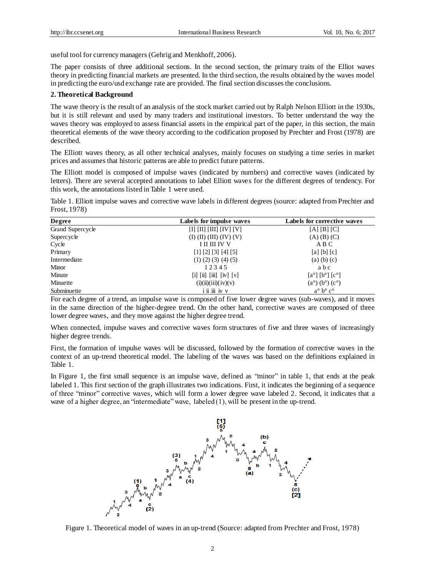useful tool for currency managers (Gehrig and Menkhoff, 2006).

The paper consists of three additional sections. In the second section, the primary traits of the Elliot waves theory in predicting financial markets are presented. In the third section, the results obtained by the waves model in predicting the euro/usd exchange rate are provided. The final section discusses the conclusions.

#### **2. Theoretical Background**

The wave theory is the result of an analysis of the stock market carried out by Ralph Nelson Elliott in the 1930s, but it is still relevant and used by many traders and institutional investors. To better understand the way the waves theory was employed to assess financial assets in the empirical part of the paper, in this section, the main theoretical elements of the wave theory according to the codification proposed by Prechter and Frost (1978) are described.

The Elliott waves theory, as all other technical analyses, mainly focuses on studying a time series in market prices and assumes that historic patterns are able to predict future patterns.

The Elliott model is composed of impulse waves (indicated by numbers) and corrective waves (indicated by letters). There are several accepted annotations to label Elliott waves for the different degrees of tendency. For this work, the annotations listed in Table 1 were used.

Table 1. Elliott impulse waves and corrective wave labels in different degrees (source: adapted from Prechter and Frost, 1978)

| <b>Degree</b>    | Labels for impulse waves                  | Labels for corrective waves                     |
|------------------|-------------------------------------------|-------------------------------------------------|
| Grand Supercycle | $[1] [11] [111] [1V] [V]$                 | [A] [B] [C]                                     |
| Supercycle       | $(I)$ $(II)$ $(III)$ $(IV)$ $(V)$         | $(A)$ (B) $(C)$                                 |
| Cycle            | I II III IV V                             | A B C                                           |
| Primary          | [1] [2] [3] [4] [5]                       | $[a]$ $[b]$ $[c]$                               |
| Intermediate     | $(1)$ $(2)$ $(3)$ $(4)$ $(5)$             | $(a)$ (b) $(c)$                                 |
| Minor            | 12345                                     | abc                                             |
| Minute           | $[i]$ $[i]$ $[i]$ $[i]$ $[i]$ $[i]$ $[i]$ | $[a \degree] [b \degree] [c \degree]$           |
| Minuette         | (i)(ii)(iii)(iv)(v)                       | $(a \mathcal{A})(b \mathcal{A})(c \mathcal{A})$ |
| Subminuette      | i ii iii iv v                             | $a^{\circ}b^{\circ}c^{\circ}$                   |

For each degree of a trend, an impulse wave is composed of five lower degree waves (sub-waves), and it moves in the same direction of the higher-degree trend. On the other hand, corrective waves are composed of three lower degree waves, and they move against the higher degree trend.

When connected, impulse waves and corrective waves form structures of five and three waves of increasingly higher degree trends.

First, the formation of impulse waves will be discussed, followed by the formation of corrective waves in the context of an up-trend theoretical model. The labeling of the waves was based on the definitions explained in Table 1.

In Figure 1, the first small sequence is an impulse wave, defined as "minor" in table 1, that ends at the peak labeled 1. This first section of the graph illustrates two indications. First, it indicates the beginning of a sequence of three "minor" corrective waves, which will form a lower degree wave labeled 2. Second, it indicates that a wave of a higher degree, an "intermediate" wave, labeled (1), will be present in the up-trend.



Figure 1. Theoretical model of waves in an up-trend (Source: adapted from Prechter and Frost, 1978)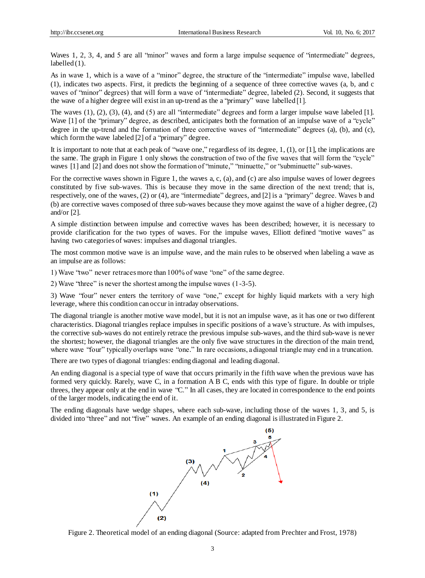Waves 1, 2, 3, 4, and 5 are all "minor" waves and form a large impulse sequence of "intermediate" degrees, labelled  $(1)$ .

As in wave 1, which is a wave of a "minor" degree, the structure of the "intermediate" impulse wave, labelled (1), indicates two aspects. First, it predicts the beginning of a sequence of three corrective waves (a, b, and c waves of "minor" degrees) that will form a wave of "intermediate" degree, labeled (2). Second, it suggests that the wave of a higher degree will exist in an up-trend as the a "primary" wave labelled [1].

The waves (1), (2), (3), (4), and (5) are all "intermediate" degrees and form a larger impulse wave labeled [1]. Wave [1] of the "primary" degree, as described, anticipates both the formation of an impulse wave of a "cycle" degree in the up-trend and the formation of three corrective waves of "intermediate" degrees (a), (b), and (c), which form the wave labeled [2] of a "primary" degree.

It is important to note that at each peak of "wave one," regardless of its degree,  $1$ ,  $(1)$ , or  $[1]$ , the implications are the same. The graph in Figure 1 only shows the construction of two of the five waves that will form the "cycle" waves [1] and [2] and does not show the formation of "minute," "minuette," or "subminuette" sub-waves.

For the corrective waves shown in Figure 1, the waves a, c, (a), and (c) are also impulse waves of lower degrees constituted by five sub-waves. This is because they move in the same direction of the next trend; that is, respectively, one of the waves, (2) or (4), are "intermediate" degrees, and [2] is a "primary" degree. Waves b and (b) are corrective waves composed of three sub-waves because they move against the wave of a higher degree, (2) and/or [2].

A simple distinction between impulse and corrective waves has been described; however, it is necessary to provide clarification for the two types of waves. For the impulse waves, Elliott defined "motive waves" as having two categories of waves: impulses and diagonal triangles.

The most common motive wave is an impulse wave, and the main rules to be observed when labeling a wave as an impulse are as follows:

1) Wave "two" never retracesmore than 100% of wave "one" of the same degree.

2) Wave "three" is never the shortest among the impulse waves (1-3-5).

3) Wave "four" never enters the territory of wave "one," except for highly liquid markets with a very high leverage, where this condition can occur in intraday observations.

The diagonal triangle is another motive wave model, but it is not an impulse wave, as it has one or two different characteristics. Diagonal triangles replace impulses in specific positions of a wave's structure. As with impulses, the corrective sub-waves do not entirely retrace the previous impulse sub-waves, and the third sub-wave is never the shortest; however, the diagonal triangles are the only five wave structures in the direction of the main trend, where wave "four" typically overlaps wave "one." In rare occasions, a diagonal triangle may end in a truncation.

There are two types of diagonal triangles: ending diagonal and leading diagonal.

An ending diagonal is a special type of wave that occurs primarily in the fifth wave when the previous wave has formed very quickly. Rarely, wave C, in a formation A B C, ends with this type of figure. In double or triple threes, they appear only at the end in wave "C." In all cases, they are located in correspondence to the end points of the larger models, indicating the end of it.

The ending diagonals have wedge shapes, where each sub-wave, including those of the waves 1, 3, and 5, is divided into "three" and not "five" waves. An example of an ending diagonal is illustrated in Figure 2.



Figure 2. Theoretical model of an ending diagonal (Source: adapted from Prechter and Frost, 1978)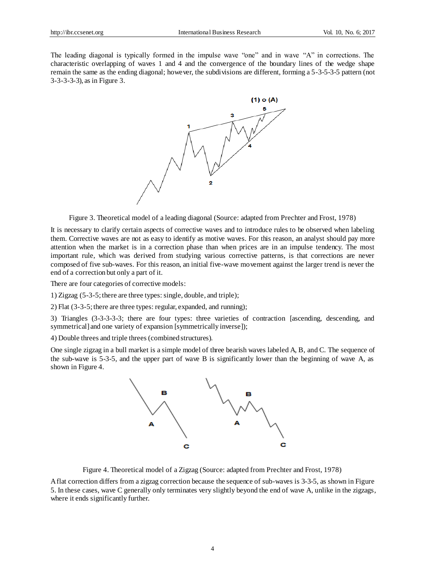The leading diagonal is typically formed in the impulse wave "one" and in wave "A" in corrections. The characteristic overlapping of waves 1 and 4 and the convergence of the boundary lines of the wedge shape remain the same as the ending diagonal; however, the subdivisions are different, forming a 5-3-5-3-5 pattern (not 3-3-3-3-3), as in Figure 3.



Figure 3. Theoretical model of a leading diagonal (Source: adapted from Prechter and Frost, 1978)

It is necessary to clarify certain aspects of corrective waves and to introduce rules to be observed when labeling them. Corrective waves are not as easy to identify as motive waves. For this reason, an analyst should pay more attention when the market is in a correction phase than when prices are in an impulse tendency. The most important rule, which was derived from studying various corrective patterns, is that corrections are never composed of five sub-waves. For this reason, an initial five-wave movement against the larger trend is never the end of a correction but only a part of it.

There are four categories of corrective models:

1) Zigzag (5-3-5; there are three types: single, double, and triple);

2) Flat (3-3-5; there are three types: regular, expanded, and running);

3) Triangles (3-3-3-3-3; there are four types: three varieties of contraction [ascending, descending, and symmetrical] and one variety of expansion [symmetrically inverse]);

4) Double threes and triple threes (combined structures).

One single zigzag in a bull market is a simple model of three bearish waves labeled A, B, and C. The sequence of the sub-wave is 5-3-5, and the upper part of wave B is significantly lower than the beginning of wave A, as shown in Figure 4.



Figure 4. Theoretical model of a Zigzag (Source: adapted from Prechter and Frost, 1978)

A flat correction differs from a zigzag correction because the sequence of sub-waves is 3-3-5, as shown in Figure 5. In these cases, wave C generally only terminates very slightly beyond the end of wave A, unlike in the zigzags, where it ends significantly further.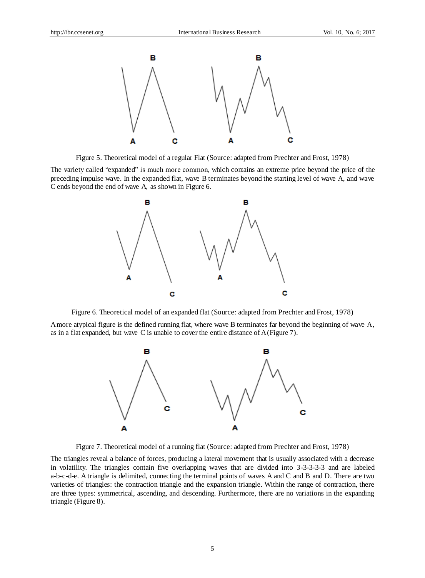

Figure 5. Theoretical model of a regular Flat (Source: adapted from Prechter and Frost, 1978)

The variety called "expanded" is much more common, which contains an extreme price beyond the price of the preceding impulse wave. In the expanded flat, wave B terminates beyond the starting level of wave A, and wave C ends beyond the end of wave A, as shown in Figure 6.



Figure 6. Theoretical model of an expanded flat (Source: adapted from Prechter and Frost, 1978)

A more atypical figure is the defined running flat, where wave B terminates far beyond the beginning of wave A, as in a flat expanded, but wave C is unable to cover the entire distance of A (Figure 7).



Figure 7. Theoretical model of a running flat (Source: adapted from Prechter and Frost, 1978)

The triangles reveal a balance of forces, producing a lateral movement that is usually associated with a decrease in volatility. The triangles contain five overlapping waves that are divided into 3-3-3-3-3 and are labeled a-b-c-d-e. A triangle is delimited, connecting the terminal points of waves A and C and B and D. There are two varieties of triangles: the contraction triangle and the expansion triangle. Within the range of contraction, there are three types: symmetrical, ascending, and descending. Furthermore, there are no variations in the expanding triangle (Figure 8).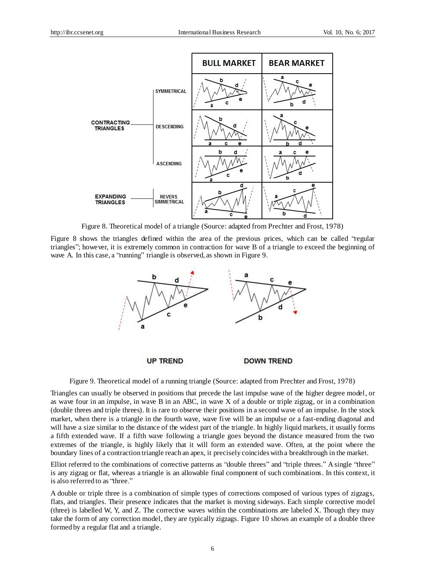

Figure 8. Theoretical model of a triangle (Source: adapted from Prechter and Frost, 1978)

Figure 8 shows the triangles defined within the area of the previous prices, which can be called "regular triangles"; however, it is extremely common in contraction for wave B of a triangle to exceed the beginning of wave A. In this case, a "running" triangle is observed, as shown in Figure 9.



**UP TREND** 

**DOWN TREND** 

Figure 9. Theoretical model of a running triangle (Source: adapted from Prechter and Frost, 1978)

Triangles can usually be observed in positions that precede the last impulse wave of the higher degree model, or as wave four in an impulse, in wave B in an ABC, in wave X of a double or triple zigzag, or in a combination (double threes and triple threes). It is rare to observe their positions in a second wave of an impulse. In the stock market, when there is a triangle in the fourth wave, wave five will be an impulse or a fast-ending diagonal and will have a size similar to the distance of the widest part of the triangle. In highly liquid markets, it usually forms a fifth extended wave. If a fifth wave following a triangle goes beyond the distance measured from the two extremes of the triangle, is highly likely that it will form an extended wave. Often, at the point where the boundary lines of a contraction triangle reach an apex, it precisely coincides with a breakthrough in the market.

Elliot referred to the combinations of corrective patterns as "double threes" and "triple threes." A single "three" is any zigzag or flat, whereas a triangle is an allowable final component of such combinations. In this context, it is also referred to as "three."

A double or triple three is a combination of simple types of corrections composed of various types of zigzags, flats, and triangles. Their presence indicates that the market is moving sideways. Each simple corrective model (three) is labelled W, Y, and Z. The corrective waves within the combinations are labeled X. Though they may take the form of any correction model, they are typically zigzags. Figure 10 shows an example of a double three formed by a regular flat and a triangle.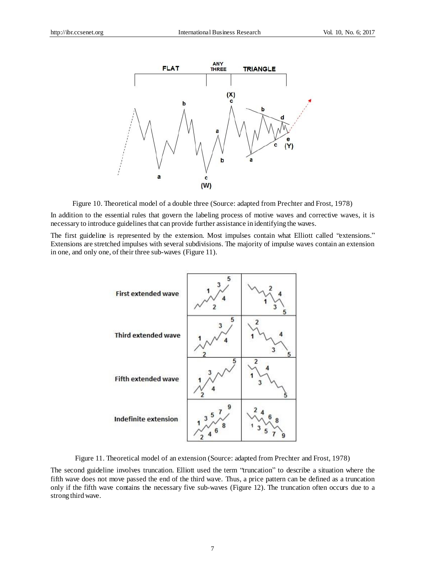

Figure 10. Theoretical model of a double three (Source: adapted from Prechter and Frost, 1978)

In addition to the essential rules that govern the labeling process of motive waves and corrective waves, it is necessary to introduce guidelines that can provide further assistance in identifying the waves.

The first guideline is represented by the extension. Most impulses contain what Elliott called "extensions." Extensions are stretched impulses with several subdivisions. The majority of impulse waves contain an extension in one, and only one, of their three sub-waves (Figure 11).



Figure 11. Theoretical model of an extension (Source: adapted from Prechter and Frost, 1978)

The second guideline involves truncation. Elliott used the term "truncation" to describe a situation where the fifth wave does not move passed the end of the third wave. Thus, a price pattern can be defined as a truncation only if the fifth wave contains the necessary five sub-waves (Figure 12). The truncation often occurs due to a strong third wave.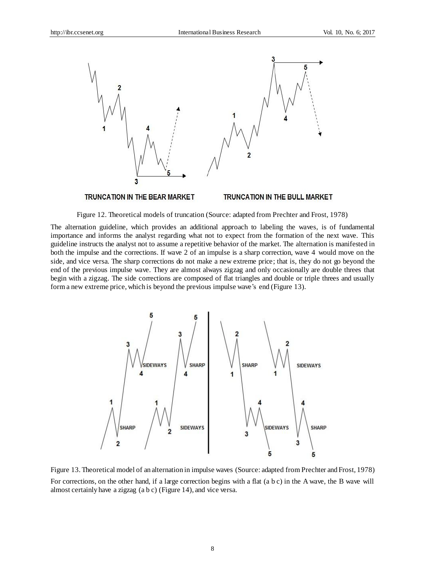

Figure 12. Theoretical models of truncation (Source: adapted from Prechter and Frost, 1978)

The alternation guideline, which provides an additional approach to labeling the waves, is of fundamental importance and informs the analyst regarding what not to expect from the formation of the next wave. This guideline instructs the analyst not to assume a repetitive behavior of the market. The alternation is manifested in both the impulse and the corrections. If wave 2 of an impulse is a sharp correction, wave 4 would move on the side, and vice versa. The sharp corrections do not make a new extreme price; that is, they do not go beyond the end of the previous impulse wave. They are almost always zigzag and only occasionally are double threes that begin with a zigzag. The side corrections are composed of flat triangles and double or triple threes and usually form a new extreme price, which is beyond the previous impulse wave's end (Figure 13).



Figure 13. Theoretical model of an alternation in impulse waves (Source: adapted from Prechter and Frost, 1978) For corrections, on the other hand, if a large correction begins with a flat (a b c) in the A wave, the B wave will almost certainly have a zigzag (a b c) (Figure 14), and vice versa.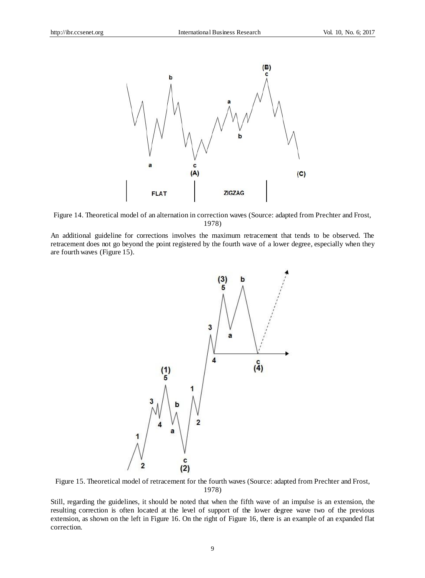

Figure 14. Theoretical model of an alternation in correction waves (Source: adapted from Prechter and Frost, 1978)

An additional guideline for corrections involves the maximum retracement that tends to be observed. The retracement does not go beyond the point registered by the fourth wave of a lower degree, especially when they are fourth waves (Figure 15).



Figure 15. Theoretical model of retracement for the fourth waves (Source: adapted from Prechter and Frost, 1978)

Still, regarding the guidelines, it should be noted that when the fifth wave of an impulse is an extension, the resulting correction is often located at the level of support of the lower degree wave two of the previous extension, as shown on the left in Figure 16. On the right of Figure 16, there is an example of an expanded flat correction.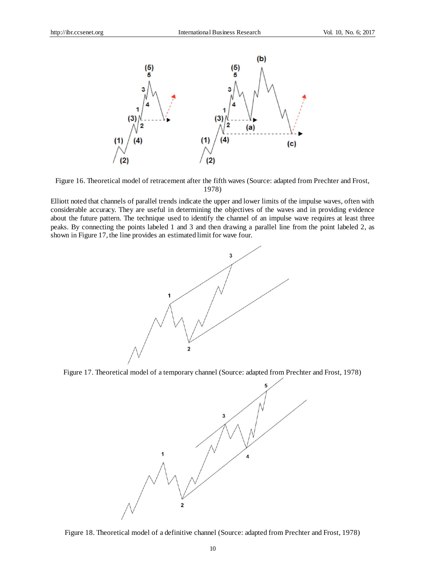

Figure 16. Theoretical model of retracement after the fifth waves (Source: adapted from Prechter and Frost, 1978)

Elliott noted that channels of parallel trends indicate the upper and lower limits of the impulse waves, often with considerable accuracy. They are useful in determining the objectives of the waves and in providing evidence about the future pattern. The technique used to identify the channel of an impulse wave requires at least three peaks. By connecting the points labeled 1 and 3 and then drawing a parallel line from the point labeled 2, as shown in Figure 17, the line provides an estimated limit for wave four.



Figure 17. Theoretical model of a temporary channel (Source: adapted from Prechter and Frost, 1978)



Figure 18. Theoretical model of a definitive channel (Source: adapted from Prechter and Frost, 1978)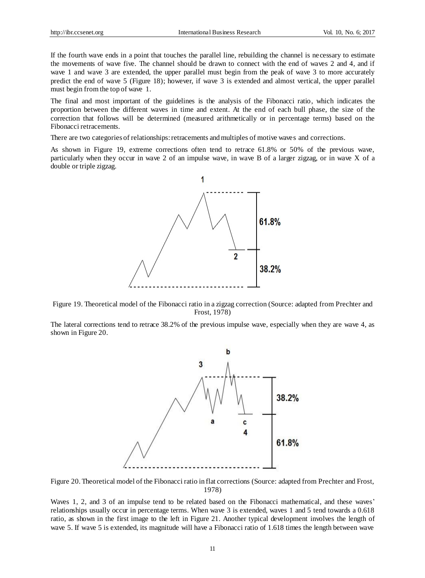If the fourth wave ends in a point that touches the parallel line, rebuilding the channel is necessary to estimate the movements of wave five. The channel should be drawn to connect with the end of waves 2 and 4, and if wave 1 and wave 3 are extended, the upper parallel must begin from the peak of wave 3 to more accurately predict the end of wave 5 (Figure 18); however, if wave 3 is extended and almost vertical, the upper parallel must begin from the top of wave 1.

The final and most important of the guidelines is the analysis of the Fibonacci ratio, which indicates the proportion between the different waves in time and extent. At the end of each bull phase, the size of the correction that follows will be determined (measured arithmetically or in percentage terms) based on the Fibonacci retracements.

There are two categories of relationships: retracements and multiples of motive waves and corrections.

As shown in Figure 19, extreme corrections often tend to retrace 61.8% or 50% of the previous wave, particularly when they occur in wave 2 of an impulse wave, in wave B of a larger zigzag, or in wave X of a double or triple zigzag.



Figure 19. Theoretical model of the Fibonacci ratio in a zigzag correction (Source: adapted from Prechter and Frost, 1978)

The lateral corrections tend to retrace 38.2% of the previous impulse wave, especially when they are wave 4, as shown in Figure 20.



Figure 20. Theoretical model of the Fibonacci ratio in flat corrections (Source: adapted from Prechter and Frost, 1978)

Waves 1, 2, and 3 of an impulse tend to be related based on the Fibonacci mathematical, and these waves' relationships usually occur in percentage terms. When wave 3 is extended, waves 1 and 5 tend towards a 0.618 ratio, as shown in the first image to the left in Figure 21. Another typical development involves the length of wave 5. If wave 5 is extended, its magnitude will have a Fibonacci ratio of 1.618 times the length between wave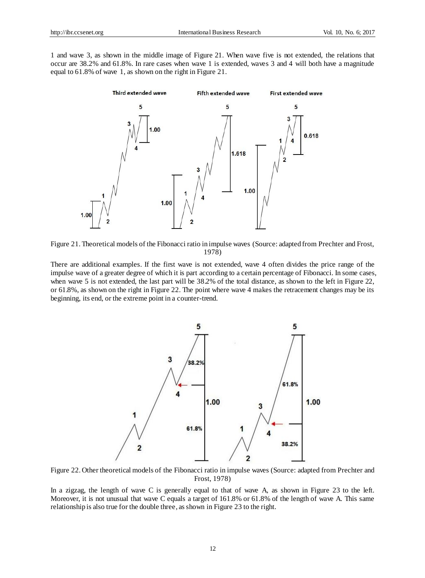1 and wave 3, as shown in the middle image of Figure 21. When wave five is not extended, the relations that occur are 38.2% and 61.8%. In rare cases when wave 1 is extended, waves 3 and 4 will both have a magnitude equal to 61.8% of wave 1, as shown on the right in Figure 21.



Figure 21. Theoretical models of the Fibonacci ratio in impulse waves (Source: adapted from Prechter and Frost, 1978)

There are additional examples. If the first wave is not extended, wave 4 often divides the price range of the impulse wave of a greater degree of which it is part according to a certain percentage of Fibonacci. In some cases, when wave 5 is not extended, the last part will be 38.2% of the total distance, as shown to the left in Figure 22, or 61.8%, as shown on the right in Figure 22. The point where wave 4 makes the retracement changes may be its beginning, its end, or the extreme point in a counter-trend.



Figure 22. Other theoretical models of the Fibonacci ratio in impulse waves (Source: adapted from Prechter and Frost, 1978)

In a zigzag, the length of wave C is generally equal to that of wave A, as shown in Figure 23 to the left. Moreover, it is not unusual that wave C equals a target of 161.8% or 61.8% of the length of wave A. This same relationship is also true for the double three, as shown in Figure 23 to the right.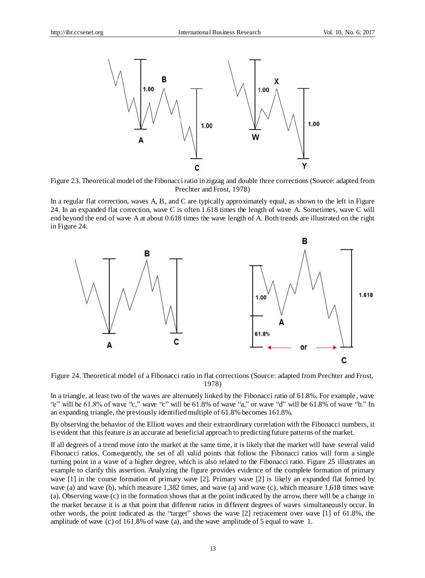

Figure 23. Theoretical model of the Fibonacci ratio in zigzag and double three corrections (Source: adapted from Prechter and Frost, 1978)

In a regular flat correction, waves A, B, and C are typically approximately equal, as shown to the left in Figure 24. In an expanded flat correction, wave C is often 1.618 times the length of wave A. Sometimes, wave C will end beyond the end of wave A at about 0.618 times the wave length of A. Both trends are illustrated on the right in Figure 24.



Figure 24. Theoretical model of a Fibonacci ratio in flat corrections (Source: adapted from Prechter and Frost, 1978)

In a triangle, at least two of the waves are alternately linked by the Fibonacci ratio of 61.8%. For example , wave "e" will be 61.8% of wave "c," wave "c" will be 61.8% of wave "a," or wave "d" will be 61.8% of wave "b." In an expanding triangle, the previously identified multiple of 61.8% becomes 161.8%.

By observing the behavior of the Elliott waves and their extraordinary correlation with the Fibonacci numbers, it is evident that this feature is an accurate ad beneficial approach to predicting future patterns of the market.

If all degrees of a trend move into the market at the same time, it is likely that the market will have several valid Fibonacci ratios. Consequently, the set of all valid points that follow the Fibonacci ratios will form a single turning point in a wave of a higher degree, which is also related to the Fibonacci ratio. Figure 25 illustrates an example to clarify this assertion. Analyzing the figure provides evidence of the complete formation of primary wave [1] in the course formation of primary wave [2]. Primary wave [2] is likely an expanded flat formed by wave (a) and wave (b), which measure 1,382 times, and wave (a) and wave (c), which measure 1,618 times wave (a). Observing wave (c) in the formation shows that at the point indicated by the arrow, there will be a change in the market because it is at that point that different ratios in different degrees of waves simultaneously occur. In other words, the point indicated as the "target" shows the wave [2] retracement over wave [1] of 61.8%, the amplitude of wave (c) of 161.8% of wave (a), and the wave amplitude of 5 equal to wave 1.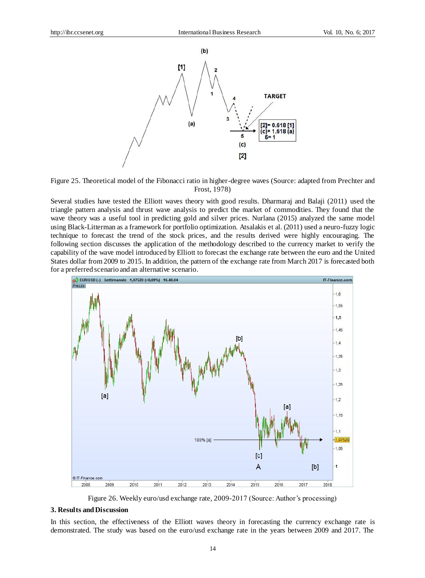

Figure 25. Theoretical model of the Fibonacci ratio in higher-degree waves (Source: adapted from Prechter and Frost, 1978)

Several studies have tested the Elliott waves theory with good results. Dharmaraj and Balaji (2011) used the triangle pattern analysis and thrust wave analysis to predict the market of commodities. They found that the wave theory was a useful tool in predicting gold and silver prices. Nurlana (2015) analyzed the same model using Black-Litterman as a framework for portfolio optimization. Atsalakis et al. (2011) used a neuro-fuzzy logic technique to forecast the trend of the stock prices, and the results derived were highly encouraging. The following section discusses the application of the methodology described to the currency market to verify the capability of the wave model introduced by Elliott to forecast the exchange rate between the euro and the United States dollar from 2009 to 2015. In addition, the pattern of the exchange rate from March 2017 is forecasted both for a preferred scenario and an alternative scenario.



Figure 26. Weekly euro/usd exchange rate, 2009-2017 (Source: Author's processing)

## **3. Results and Discussion**

In this section, the effectiveness of the Elliott waves theory in forecasting the currency exchange rate is demonstrated. The study was based on the euro/usd exchange rate in the years between 2009 and 2017. The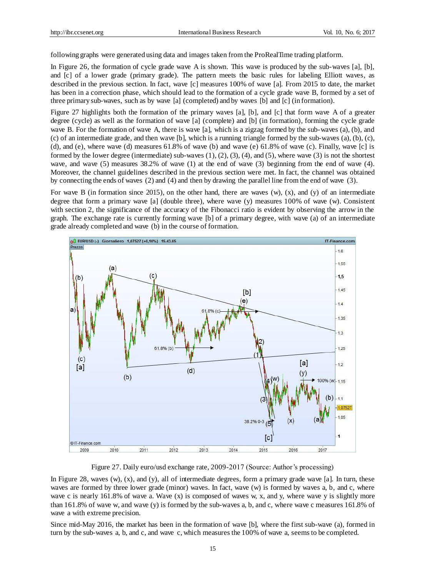following graphs were generated using data and images taken from the ProRealTime trading platform.

In Figure 26, the formation of cycle grade wave A is shown. This wave is produced by the sub-waves [a], [b], and [c] of a lower grade (primary grade). The pattern meets the basic rules for labeling Elliott waves, as described in the previous section. In fact, wave [c] measures 100% of wave [a]. From 2015 to date, the market has been in a correction phase, which should lead to the formation of a cycle grade wave B, formed by a set of three primary sub-waves, such as by wave [a] (completed) and by waves [b] and [c] (in formation).

Figure 27 highlights both the formation of the primary waves [a], [b], and [c] that form wave A of a greater degree (cycle) as well as the formation of wave [a] (complete) and [b] (in formation), forming the cycle grade wave B. For the formation of wave A, there is wave [a], which is a zigzag formed by the sub-waves (a), (b), and (c) of an intermediate grade, and then wave [b], which is a running triangle formed by the sub-waves  $(a)$ ,  $(b)$ ,  $(c)$ , (d), and (e), where wave (d) measures  $61.8\%$  of wave (b) and wave (e)  $61.8\%$  of wave (c). Finally, wave [c] is formed by the lower degree (intermediate) sub-waves  $(1)$ ,  $(2)$ ,  $(3)$ ,  $(4)$ , and  $(5)$ , where wave  $(3)$  is not the shortest wave, and wave (5) measures 38.2% of wave (1) at the end of wave (3) beginning from the end of wave (4). Moreover, the channel guidelines described in the previous section were met. In fact, the channel was obtained by connecting the ends of waves (2) and (4) and then by drawing the parallel line from the end of wave (3).

For wave B (in formation since 2015), on the other hand, there are waves  $(w)$ ,  $(x)$ , and  $(y)$  of an intermediate degree that form a primary wave [a] (double three), where wave (y) measures 100% of wave (w). Consistent with section 2, the significance of the accuracy of the Fibonacci ratio is evident by observing the arrow in the graph. The exchange rate is currently forming wave [b] of a primary degree, with wave (a) of an intermediate grade already completed and wave (b) in the course of formation.



Figure 27. Daily euro/usd exchange rate, 2009-2017 (Source: Author's processing)

In Figure 28, waves  $(w)$ ,  $(x)$ , and  $(y)$ , all of intermediate degrees, form a primary grade wave [a]. In turn, these waves are formed by three lower grade (minor) waves. In fact, wave (w) is formed by waves a, b, and c, where wave c is nearly 161.8% of wave a. Wave (x) is composed of waves w, x, and y, where wave y is slightly more than 161.8% of wave w, and wave (y) is formed by the sub-waves a, b, and c, where wave c measures 161.8% of wave a with extreme precision.

Since mid-May 2016, the market has been in the formation of wave [b], where the first sub-wave (a), formed in turn by the sub-waves a, b, and c, and wave c, which measures the 100% of wave a, seems to be completed.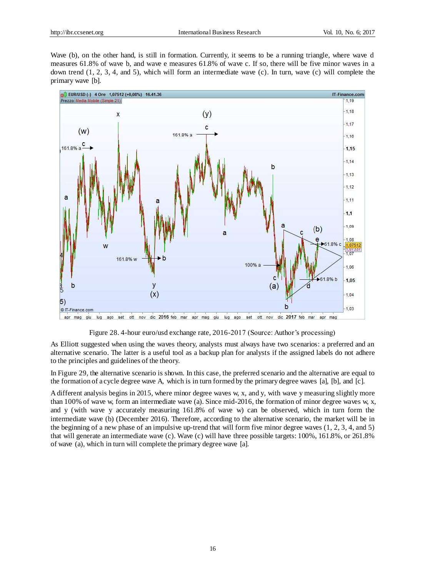Wave (b), on the other hand, is still in formation. Currently, it seems to be a running triangle, where wave d measures 61.8% of wave b, and wave e measures 61.8% of wave c. If so, there will be five minor waves in a down trend (1, 2, 3, 4, and 5), which will form an intermediate wave (c). In turn, wave (c) will complete the primary wave [b].



Figure 28. 4-hour euro/usd exchange rate, 2016-2017 (Source: Author's processing)

As Elliott suggested when using the waves theory, analysts must always have two scenarios: a preferred and an alternative scenario. The latter is a useful tool as a backup plan for analysts if the assigned labels do not adhere to the principles and guidelines of the theory.

In Figure 29, the alternative scenario is shown. In this case, the preferred scenario and the alternative are equal to the formation of a cycle degree wave A, which is in turn formed by the primary degree waves [a], [b], and [c].

A different analysis begins in 2015, where minor degree waves w, x, and y, with wave y measuring slightly more than 100% of wave w, form an intermediate wave (a). Since mid-2016, the formation of minor degree waves w, x, and y (with wave y accurately measuring 161.8% of wave w) can be observed, which in turn form the intermediate wave (b) (December 2016). Therefore, according to the alternative scenario, the market will be in the beginning of a new phase of an impulsive up-trend that will form five minor degree waves (1, 2, 3, 4, and 5) that will generate an intermediate wave (c). Wave (c) will have three possible targets: 100%, 161.8%, or 261.8% of wave (a), which in turn will complete the primary degree wave [a].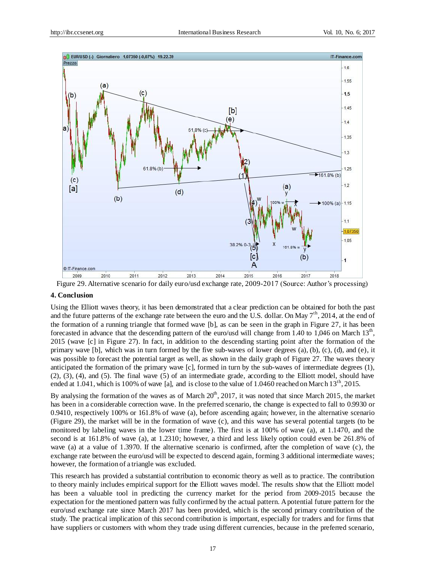

Figure 29. Alternative scenario for daily euro/usd exchange rate, 2009-2017 (Source: Author's processing)

#### **4. Conclusion**

Using the Elliott waves theory, it has been demonstrated that a clear prediction can be obtained for both the past and the future patterns of the exchange rate between the euro and the U.S. dollar. On May  $7<sup>th</sup>$ , 2014, at the end of the formation of a running triangle that formed wave [b], as can be seen in the graph in Figure 27, it has been forecasted in advance that the descending pattern of the euro/usd will change from 1.40 to 1,046 on March  $13<sup>th</sup>$ , 2015 (wave [c] in Figure 27). In fact, in addition to the descending starting point after the formation of the primary wave [b], which was in turn formed by the five sub-waves of lower degrees (a), (b), (c), (d), and (e), it was possible to forecast the potential target as well, as shown in the daily graph of Figure 27. The waves theory anticipated the formation of the primary wave [c], formed in turn by the sub-waves of intermediate degrees (1), (2), (3), (4), and (5). The final wave (5) of an intermediate grade, according to the Elliott model, should have ended at 1.041, which is 100% of wave [a], and is close to the value of 1.0460 reached on March 13<sup>th</sup>, 2015.

By analysing the formation of the waves as of March  $20^{th}$ ,  $2017$ , it was noted that since March 2015, the market has been in a considerable correction wave. In the preferred scenario, the change is expected to fall to 0.9930 or 0.9410, respectively 100% or 161.8% of wave (a), before ascending again; however, in the alternative scenario (Figure 29), the market will be in the formation of wave (c), and this wave has several potential targets (to be monitored by labeling waves in the lower time frame). The first is at 100% of wave (a), at 1.1470, and the second is at 161.8% of wave (a), at 1.2310; however, a third and less likely option could even be 261.8% of wave (a) at a value of 1.3970. If the alternative scenario is confirmed, after the completion of wave (c), the exchange rate between the euro/usd will be expected to descend again, forming 3 additional intermediate waves; however, the formation of a triangle was excluded.

This research has provided a substantial contribution to economic theory as well as to practice. The contribution to theory mainly includes empirical support for the Elliott waves model. The results show that the Elliott model has been a valuable tool in predicting the currency market for the period from 2009-2015 because the expectation for the mentioned pattern was fully confirmed by the actual pattern. A potential future pattern for the euro/usd exchange rate since March 2017 has been provided, which is the second primary contribution of the study. The practical implication of this second contribution is important, especially for traders and for firms that have suppliers or customers with whom they trade using different currencies, because in the preferred scenario,